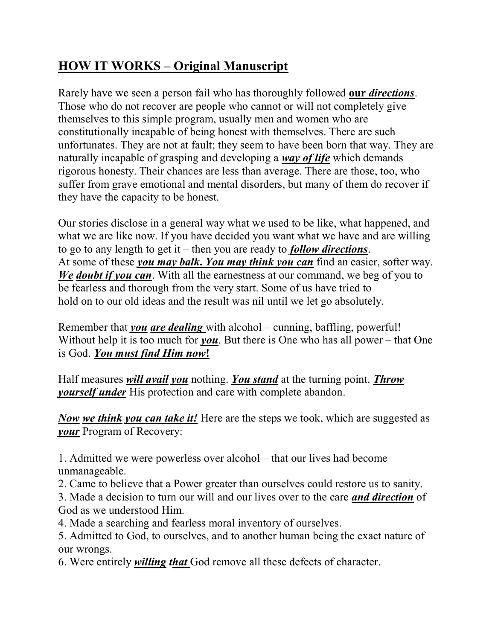## HOW IT WORKS – Original Manuscript

Rarely have we seen a person fail who has thoroughly followed our *directions*. Those who do not recover are people who cannot or will not completely give themselves to this simple program, usually men and women who are constitutionally incapable of being honest with themselves. There are such unfortunates. They are not at fault; they seem to have been born that way. They are naturally incapable of grasping and developing a *way of life* which demands rigorous honesty. Their chances are less than average. There are those, too, who suffer from grave emotional and mental disorders, but many of them do recover if they have the capacity to be honest.

Our stories disclose in a general way what we used to be like, what happened, and what we are like now. If you have decided you want what we have and are willing to go to any length to get it – then you are ready to *follow directions*. At some of these you may balk. You may think you can find an easier, softer way. We doubt if you can. With all the earnestness at our command, we beg of you to be fearless and thorough from the very start. Some of us have tried to hold on to our old ideas and the result was nil until we let go absolutely.

Remember that you are dealing with alcohol – cunning, baffling, powerful! Without help it is too much for *you*. But there is One who has all power – that One is God. You must find Him now!

Half measures *will avail you* nothing. You stand at the turning point. Throw yourself under His protection and care with complete abandon.

Now we think you can take it! Here are the steps we took, which are suggested as your Program of Recovery:

1. Admitted we were powerless over alcohol – that our lives had become unmanageable.

2. Came to believe that a Power greater than ourselves could restore us to sanity.

3. Made a decision to turn our will and our lives over to the care *and direction* of God as we understood Him.

4. Made a searching and fearless moral inventory of ourselves.

5. Admitted to God, to ourselves, and to another human being the exact nature of our wrongs.

6. Were entirely willing that God remove all these defects of character.